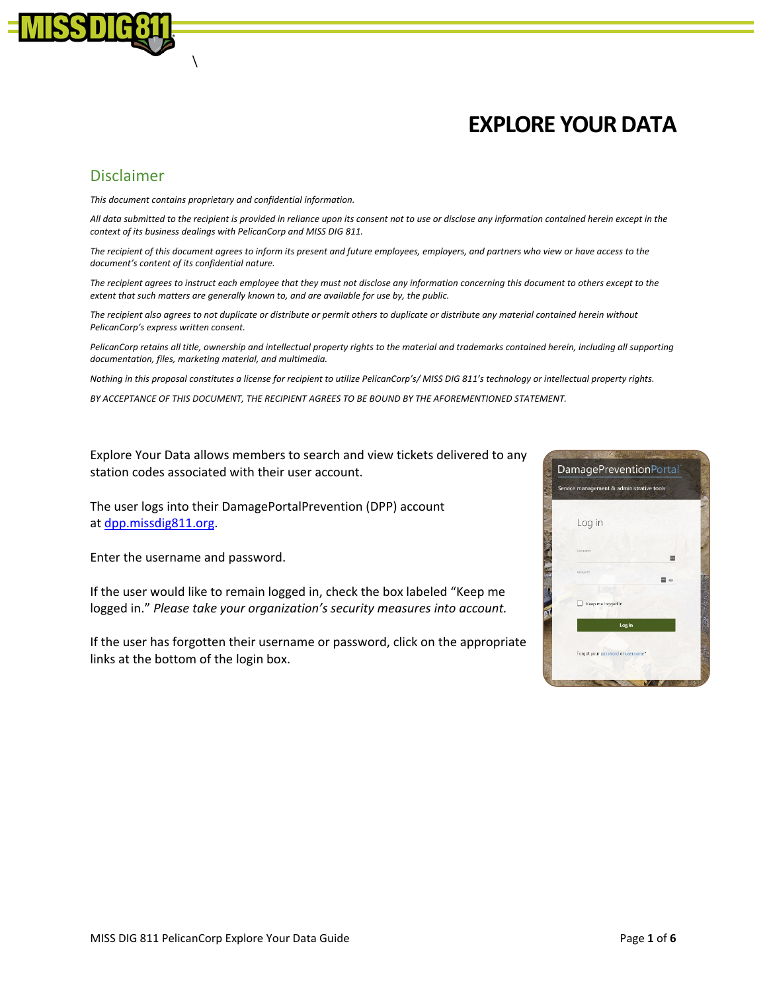

## **EXPLORE YOUR DATA**

## Disclaimer

*This document contains proprietary and confidential information.*

 $\lambda$ 

*All data submitted to the recipient is provided in reliance upon its consent not to use or disclose any information contained herein except in the context of its business dealings with PelicanCorp and MISS DIG 811.*

*The recipient of this document agrees to inform its present and future employees, employers, and partners who view or have access to the document's content of its confidential nature.*

*The recipient agrees to instruct each employee that they must not disclose any information concerning this document to others except to the extent that such matters are generally known to, and are available for use by, the public.*

*The recipient also agrees to not duplicate or distribute or permit others to duplicate or distribute any material contained herein without PelicanCorp's express written consent.*

PelicanCorp retains all title, ownership and intellectual property rights to the material and trademarks contained herein, including all supporting *documentation, files, marketing material, and multimedia.*

*Nothing in this proposal constitutes a license for recipient to utilize PelicanCorp's/ MISS DIG 811's technology or intellectual property rights.*

*BY ACCEPTANCE OF THIS DOCUMENT, THE RECIPIENT AGREES TO BE BOUND BY THE AFOREMENTIONED STATEMENT.* 

Explore Your Data allows members to search and view tickets delivered to any station codes associated with their user account.

The user logs into their DamagePortalPrevention (DPP) account at [dpp.missdig811.org.](https://dpp.missdig811.org/) 

Enter the username and password.

If the user would like to remain logged in, check the box labeled "Keep me logged in." *Please take your organization's security measures into account.* 

If the user has forgotten their username or password, click on the appropriate links at the bottom of the login box.

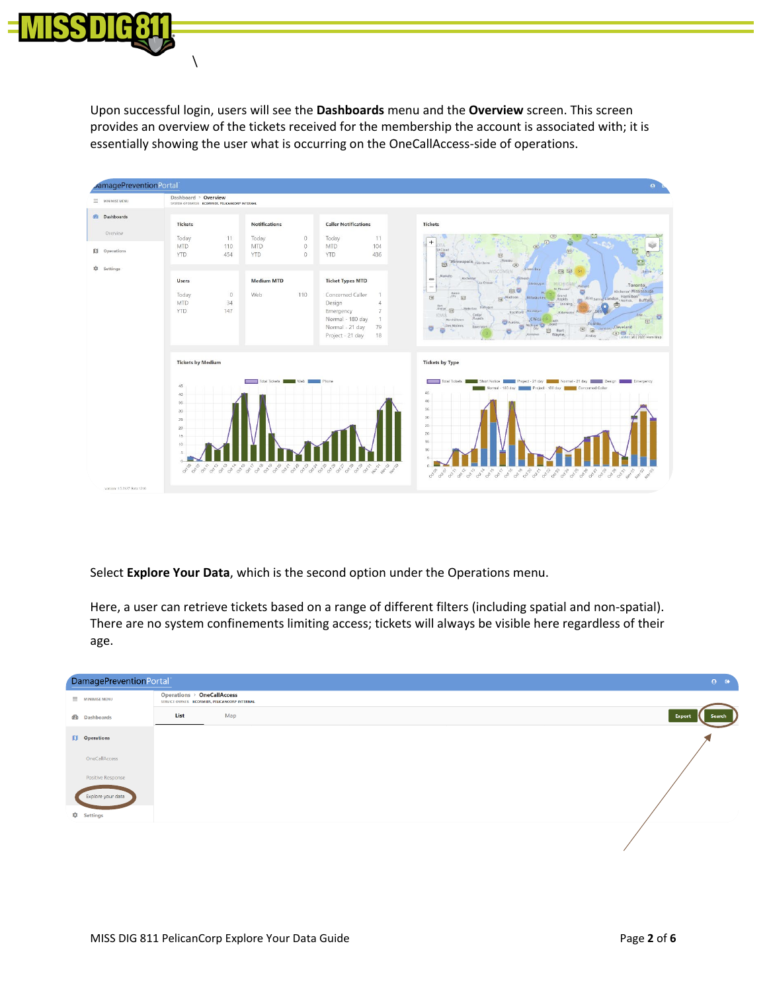

 $\lambda$ 

Upon successful login, users will see the **Dashboards** menu and the **Overview** screen. This screen provides an overview of the tickets received for the membership the account is associated with; it is essentially showing the user what is occurring on the OneCallAccess-side of operations.



Select **Explore Your Data**, which is the second option under the Operations menu.

Here, a user can retrieve tickets based on a range of different filters (including spatial and non-spatial). There are no system confinements limiting access; tickets will always be visible here regardless of their age.

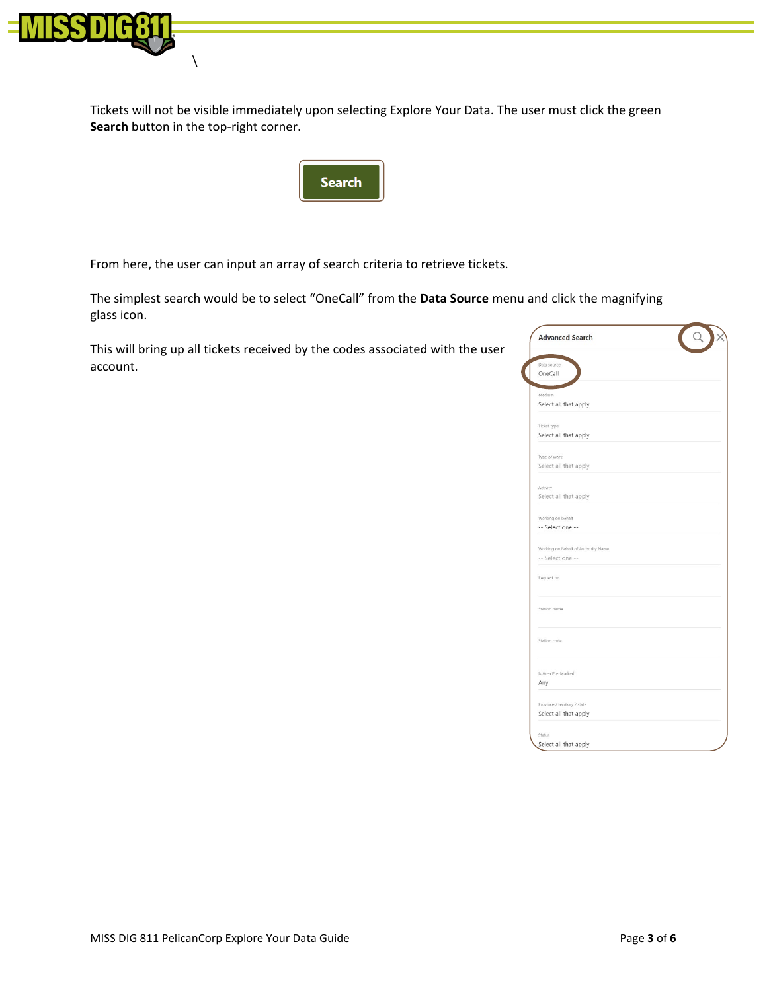

 $\lambda$ 

Tickets will not be visible immediately upon selecting Explore Your Data. The user must click the green **Search** button in the top-right corner.



From here, the user can input an array of search criteria to retrieve tickets.

The simplest search would be to select "OneCall" from the **Data Source** menu and click the magnifying glass icon.

This will bring up all tickets received by the codes associated with the user account.

| <b>Advanced Search</b>              |  |
|-------------------------------------|--|
| Data source                         |  |
| OneCall                             |  |
| Medium                              |  |
| Select all that apply               |  |
| Ticket type                         |  |
| Select all that apply               |  |
| Type of work                        |  |
| Select all that apply               |  |
|                                     |  |
| Activity<br>Select all that apply   |  |
|                                     |  |
| Working on behalf                   |  |
| -- Select one --                    |  |
| Working on Behalf of Authority Name |  |
| -- Select one --                    |  |
|                                     |  |
| Request no.                         |  |
|                                     |  |
| Station name                        |  |
|                                     |  |
|                                     |  |
| Station code                        |  |
|                                     |  |
| Is Area Pre-Marked                  |  |
| Any                                 |  |
| Province / territory / state        |  |
| Select all that apply               |  |
|                                     |  |
| Status                              |  |
| Select all that apply               |  |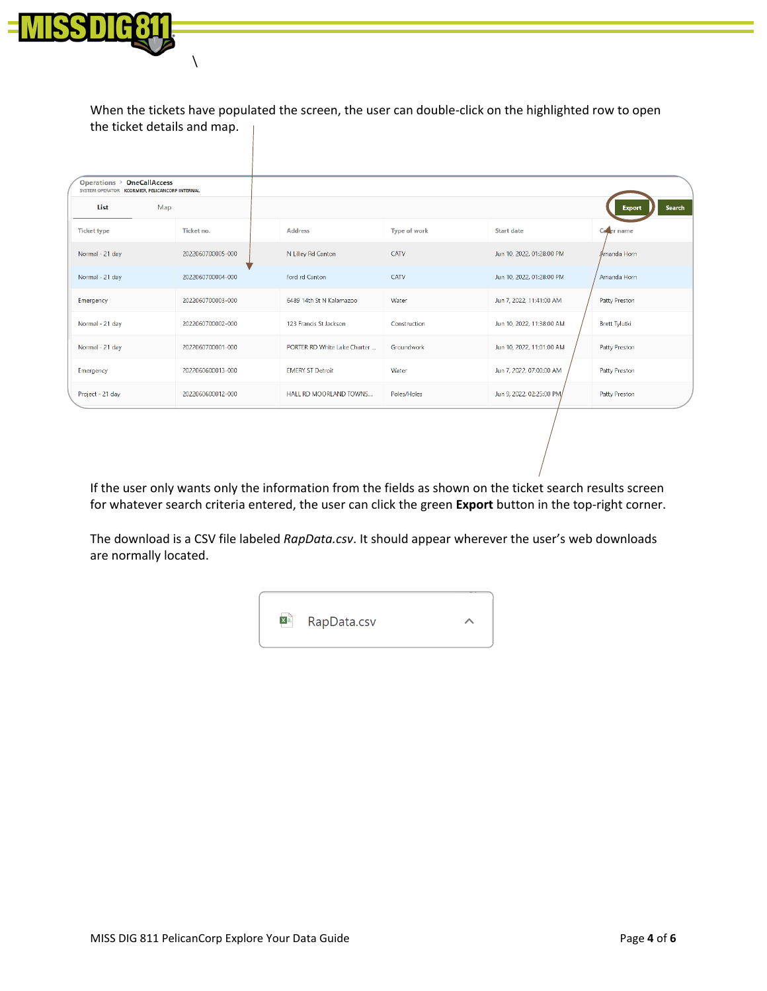

 $\setminus$ 

When the tickets have populated the screen, the user can double-click on the highlighted row to open the ticket details and map.

| Operations > OneCallAccess<br>SYSTEM OPERATOR KCORMIER, PELICANCORP INTERNAL |     |                   |                              |              |                           |                      |               |
|------------------------------------------------------------------------------|-----|-------------------|------------------------------|--------------|---------------------------|----------------------|---------------|
| List                                                                         | Map |                   |                              |              |                           | <b>Export</b>        | <b>Search</b> |
| <b>Ticket type</b>                                                           |     | Ticket no.        | <b>Address</b>               | Type of work | <b>Start date</b>         | Caper name           |               |
| Normal - 21 day                                                              |     | 2022060700005-000 | N Lilley Rd Canton           | CATV         | Jun 10, 2022, 01:28:00 PM | Amanda Horn          |               |
| Normal - 21 day                                                              |     | 2022060700004-000 | ford rd Canton               | CATV         | Jun 10, 2022, 01:28:00 PM | Amanda Horn          |               |
| Emergency                                                                    |     | 2022060700003-000 | 6489 14th St N Kalamazoo     | Water        | Jun 7, 2022, 11:41:00 AM  | Patty Preston        |               |
| Normal - 21 day                                                              |     | 2022060700002-000 | 123 Francis St Jackson       | Construction | Jun 10, 2022, 11:38:00 AM | <b>Brett Tylutki</b> |               |
| Normal - 21 day                                                              |     | 2022060700001-000 | PORTER RD White Lake Charter | Groundwork   | Jun 10, 2022, 11:01:00 AM | Patty Preston        |               |
| Emergency                                                                    |     | 2022060600013-000 | <b>EMERY ST Detroit</b>      | Water        | Jun 7, 2022, 07:00:00 AM  | Patty Preston        |               |
| Project - 21 day                                                             |     | 2022060600012-000 | HALL RD MOORLAND TOWNS       | Poles/Holes  | Jun 9, 2022, 02:25:00 PM  | Patty Preston        |               |
|                                                                              |     |                   |                              |              |                           |                      |               |

If the user only wants only the information from the fields as shown on the ticket search results screen for whatever search criteria entered, the user can click the green **Export** button in the top-right corner.

The download is a CSV file labeled *RapData.csv*. It should appear wherever the user's web downloads are normally located.

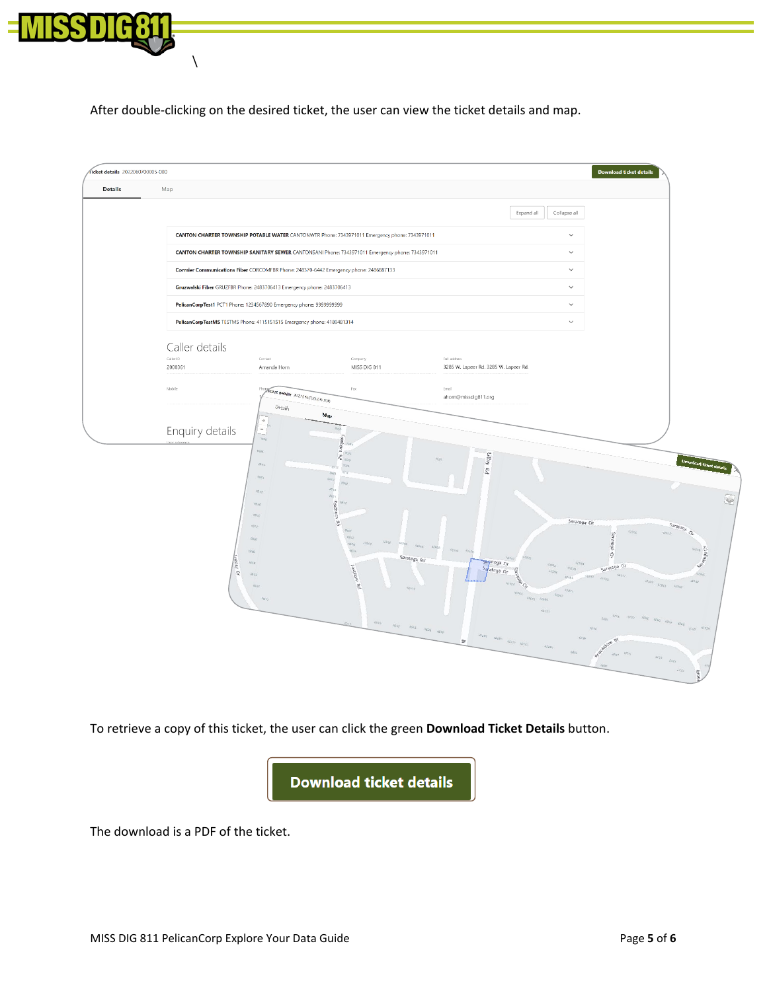

 $\setminus$ 

After double-clicking on the desired ticket, the user can view the ticket details and map.



To retrieve a copy of this ticket, the user can click the green **Download Ticket Details** button.



The download is a PDF of the ticket.